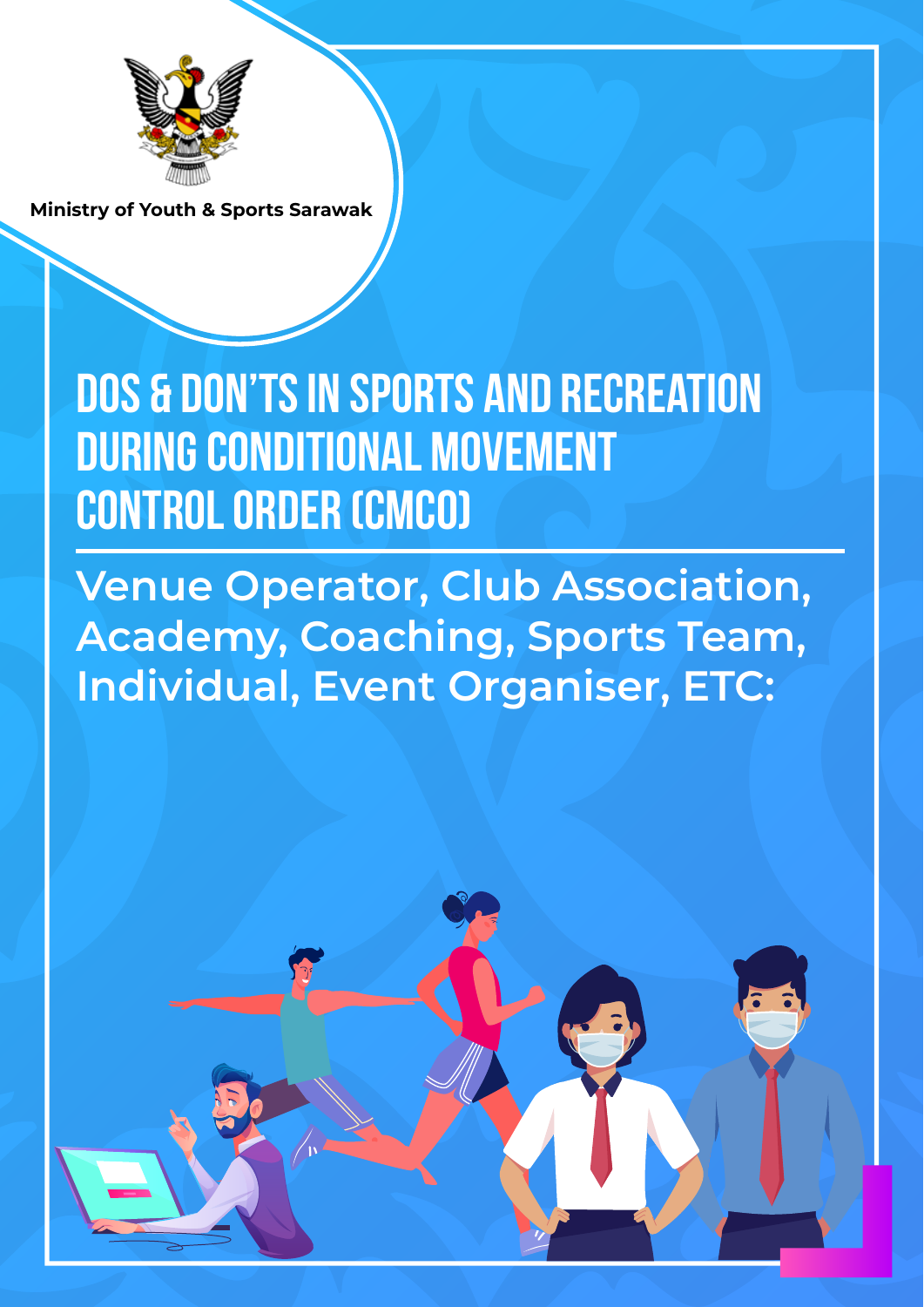

**Dos & Don'ts in Sports and Recreation during Conditional Movement Control Order (CMCO)**

**Venue Operator, Club Association, Academy, Coaching, Sports Team, Individual, Event Organiser, ETC:**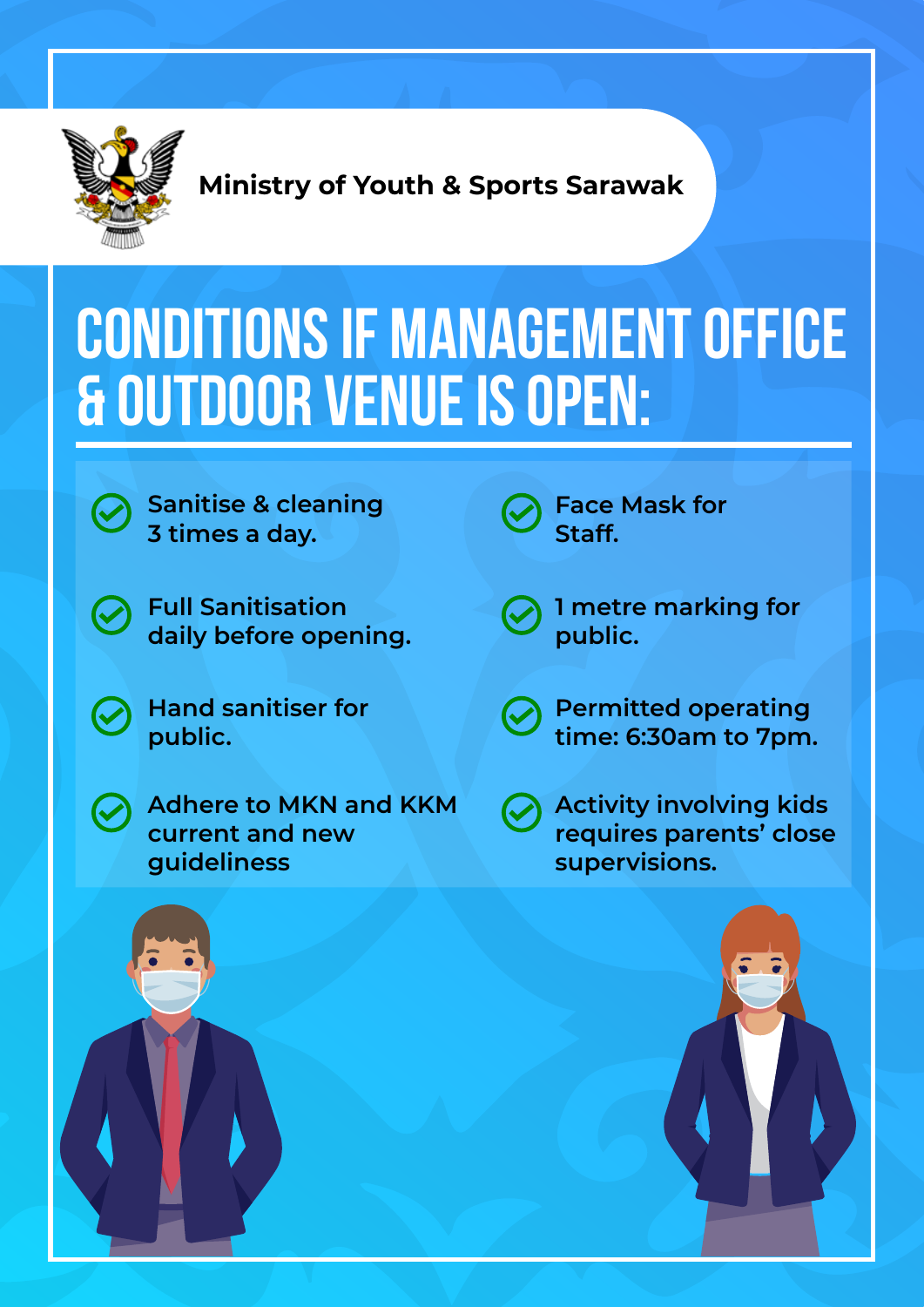

#### **CONDITIONS IF MANAGEMENT OFFICE & OUTDOOR VENUE IS OPEN:**



**Sanitise & cleaning 3 times a day.**

**Full Sanitisation daily before opening.**

**Hand sanitiser for public.**

**Adhere to MKN and KKM current and new guideliness**

- **Face Mask for Staff.**
- **1 metre marking for public.**
- **Permitted operating time: 6:30am to 7pm.**
- **Activity involving kids requires parents' close supervisions.**

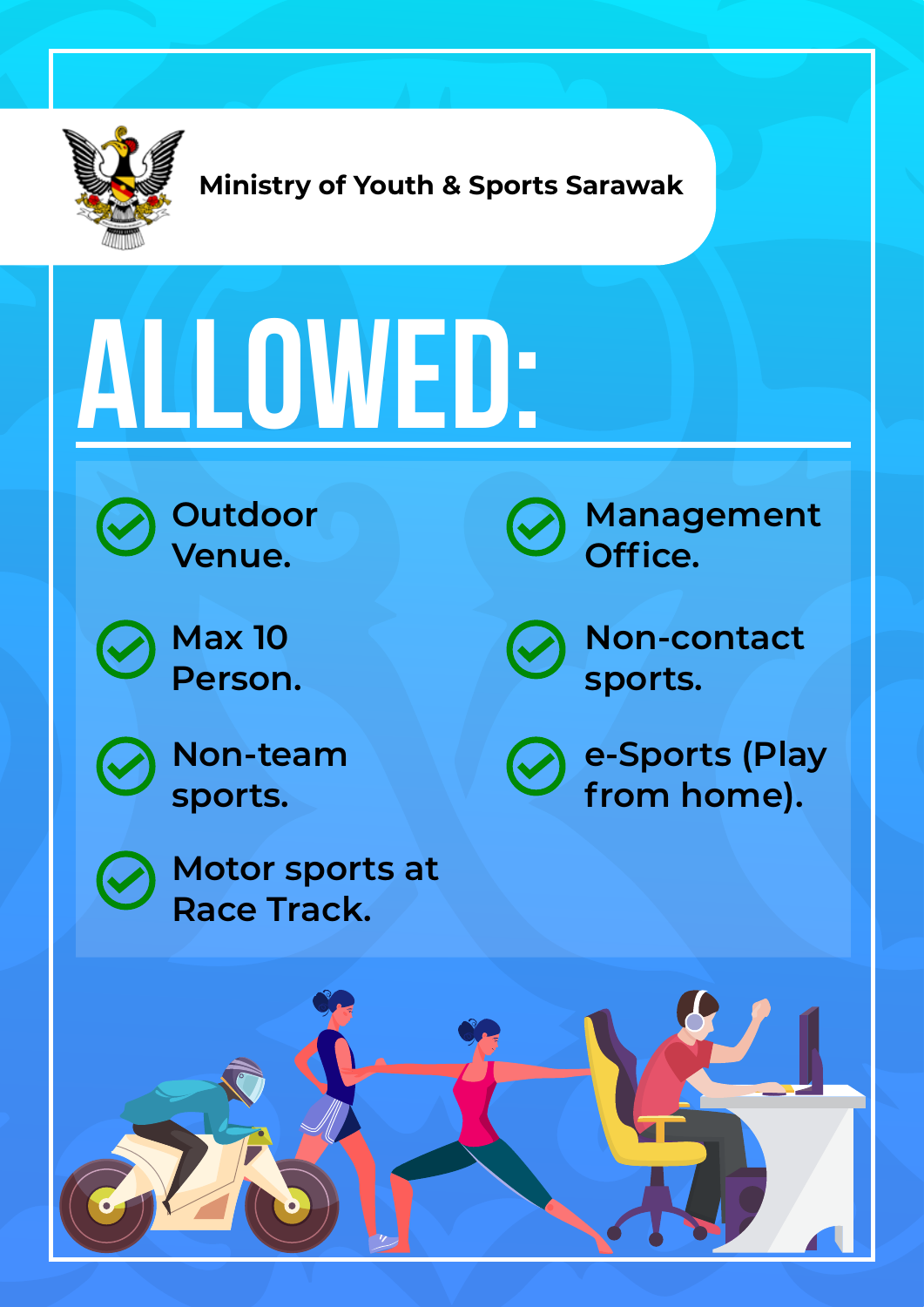

# **ALLOWED:**



**Outdoor Venue.**



**Max 10 Person.**



**Non-team sports.**

**Motor sports at**

**Race Track.**



**Management Office.**



**Non-contact sports.**



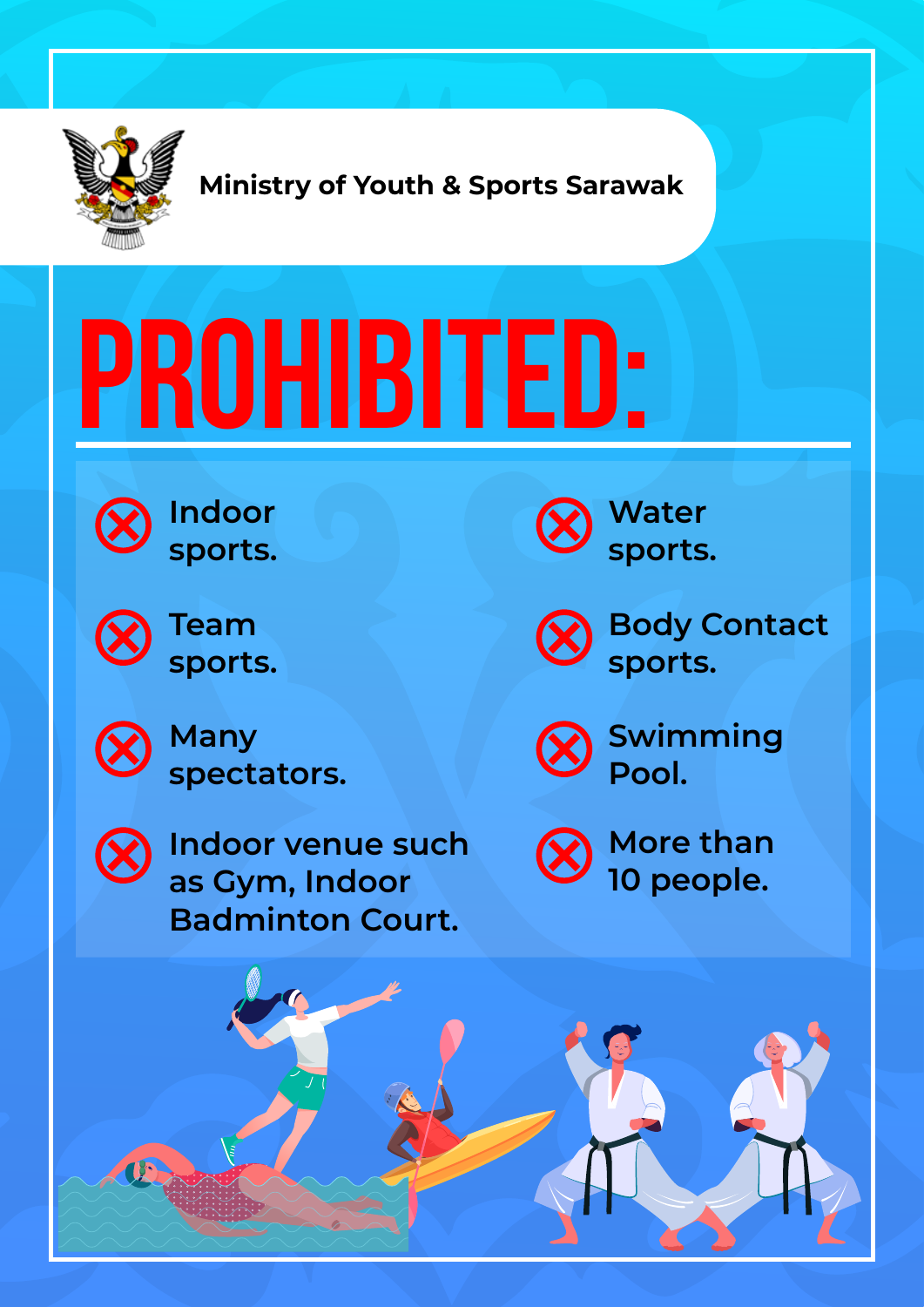

# **PROHIBITED:**



**Indoor sports.**



**Team sports.**

**Many spectators.**



**Indoor venue such as Gym, Indoor Badminton Court.**



**Water sports.**

**Body Contact sports.**



**Swimming Pool.**